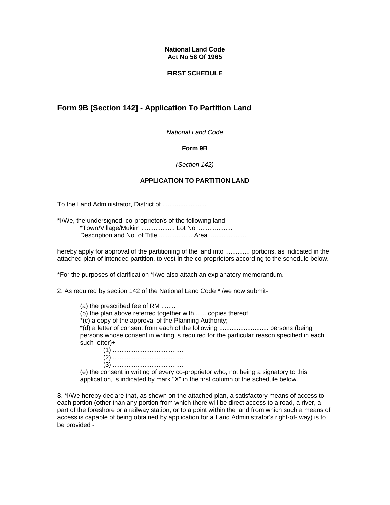#### **National Land Code Act No 56 Of 1965**

#### **FIRST SCHEDULE**

# **Form 9B [Section 142] - Application To Partition Land**

*National Land Code* 

### **Form 9B**

#### *(Section 142)*

### **APPLICATION TO PARTITION LAND**

To the Land Administrator, District of .........................

\*I/We, the undersigned, co-proprietor/s of the following land \*Town/Village/Mukim ................... Lot No .................... Description and No. of Title .................. Area ......................

hereby apply for approval of the partitioning of the land into .............. portions, as indicated in the attached plan of intended partition, to vest in the co-proprietors according to the schedule below.

\*For the purposes of clarification \*I/we also attach an explanatory memorandum.

2. As required by section 142 of the National Land Code \*I/we now submit-

(a) the prescribed fee of RM ........

(b) the plan above referred together with .......copies thereof;

\*(c) a copy of the approval of the Planning Authority;

\*(d) a letter of consent from each of the following ............................ persons (being persons whose consent in writing is required for the particular reason specified in each such letter)+ -

(1) ........................................ (2) ........................................

(3) ........................................

(e) the consent in writing of every co-proprietor who, not being a signatory to this application, is indicated by mark "X" in the first column of the schedule below.

3. \*I/We hereby declare that, as shewn on the attached plan, a satisfactory means of access to each portion (other than any portion from which there will be direct access to a road, a river, a part of the foreshore or a railway station, or to a point within the land from which such a means of access is capable of being obtained by application for a Land Administrator's right-of- way) is to be provided -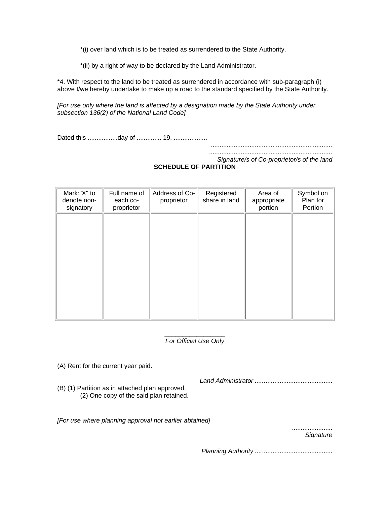\*(i) over land which is to be treated as surrendered to the State Authority.

\*(ii) by a right of way to be declared by the Land Administrator.

\*4. With respect to the land to be treated as surrendered in accordance with sub-paragraph (i) above I/we hereby undertake to make up a road to the standard specified by the State Authority.

*[For use only where the land is affected by a designation made by the State Authority under subsection 136(2) of the National Land Code]*

Dated this .................day of .............. 19, ...................

*.....................................................................* 

*...................................................................... Signature/s of Co-proprietor/s of the land* 

## **SCHEDULE OF PARTITION**

| Mark:"X" to<br>denote non-<br>signatory | Full name of<br>each co-<br>proprietor | Address of Co-<br>proprietor | Registered<br>share in land | Area of<br>appropriate<br>portion | Symbol on<br>Plan for<br>Portion |
|-----------------------------------------|----------------------------------------|------------------------------|-----------------------------|-----------------------------------|----------------------------------|
|                                         |                                        |                              |                             |                                   |                                  |
|                                         |                                        |                              |                             |                                   |                                  |
|                                         |                                        |                              |                             |                                   |                                  |
|                                         |                                        |                              |                             |                                   |                                  |

#### \_\_\_\_\_\_\_\_\_\_\_\_\_\_\_\_\_ *For Official Use Only*

(A) Rent for the current year paid.

(B) (1) Partition as in attached plan approved. (2) One copy of the said plan retained. *Land Administrator ......*......................................

*[For use where planning approval not earlier abtained]*

....................... *Signature*

*Planning Authority ....*........................................